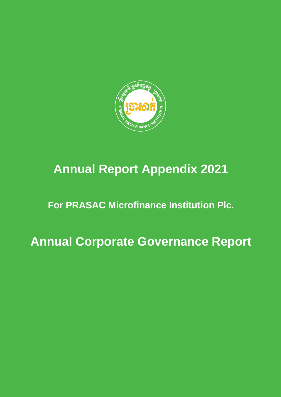

# **Annual Report Appendix 2021**

# **For PRASAC Microfinance Institution Plc.**

**Annual Corporate Governance Report**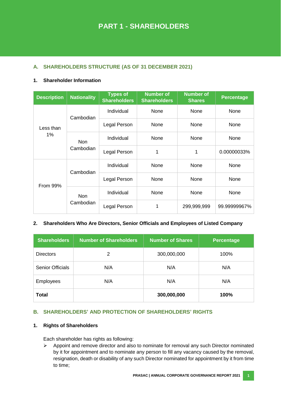# **A. SHAREHOLDERS STRUCTURE (AS OF 31 DECEMBER 2021)**

## **1. Shareholder Information**

| <b>Description</b> | <b>Nationality</b>      | <b>Types of</b><br><b>Shareholders</b> | <b>Number of</b><br><b>Shareholders</b> | <b>Number of</b><br><b>Shares</b> | <b>Percentage</b> |
|--------------------|-------------------------|----------------------------------------|-----------------------------------------|-----------------------------------|-------------------|
|                    | Cambodian               | Individual                             | None                                    | None                              | None              |
| Less than          |                         | Legal Person                           | None                                    | None                              | None              |
| 1%                 | <b>Non</b><br>Cambodian | Individual                             | None                                    | None                              | None              |
|                    |                         | Legal Person                           | 1                                       | 1                                 | 0.00000033%       |
|                    | Cambodian               | Individual                             | None                                    | None                              | None              |
| <b>From 99%</b>    |                         | Legal Person                           | None                                    | None                              | None              |
|                    | <b>Non</b><br>Cambodian | Individual                             | None                                    | None                              | None              |
|                    |                         | Legal Person                           | 1                                       | 299,999,999                       | 99.99999967%      |

## **2. Shareholders Who Are Directors, Senior Officials and Employees of Listed Company**

| <b>Shareholders</b>     | <b>Number of Shareholders</b> | <b>Number of Shares</b> | Percentage |
|-------------------------|-------------------------------|-------------------------|------------|
| <b>Directors</b>        | 2                             | 300,000,000             | 100%       |
| <b>Senior Officials</b> | N/A                           | N/A                     | N/A        |
| <b>Employees</b>        | N/A                           | N/A                     | N/A        |
| <b>Total</b>            |                               | 300,000,000             | 100%       |

## **B. SHAREHOLDERS' AND PROTECTION OF SHAREHOLDERS' RIGHTS**

#### **1. Rights of Shareholders**

Each shareholder has rights as following:

 $\triangleright$  Appoint and remove director and also to nominate for removal any such Director nominated by it for appointment and to nominate any person to fill any vacancy caused by the removal, resignation, death or disability of any such Director nominated for appointment by it from time to time;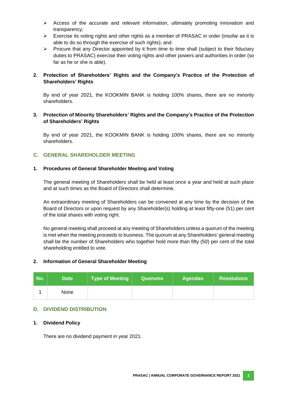- $\triangleright$  Access of the accurate and relevant information, ultimately promoting innovation and transparency;
- $\triangleright$  Exercise its voting rights and other rights as a member of PRASAC in order (insofar as it is able to do so through the exercise of such rights); and
- $\triangleright$  Procure that any Director appointed by it from time to time shall (subject to their fiduciary duties to PRASAC) exercise their voting rights and other powers and authorities in order (so far as he or she is able).

## **2. Protection of Shareholders' Rights and the Company's Practice of the Protection of Shareholders' Rights**

By end of year 2021, the KOOKMIN BANK is holding 100% shares, there are no minority shareholders.

## **3. Protection of Minority Shareholders' Rights and the Company's Practice of the Protection of Shareholders' Rights**

By end of year 2021, the KOOKMIN BANK is holding 100% shares, there are no minority shareholders.

# **C. GENERAL SHAREHOLDER MEETING**

#### **1. Procedures of General Shareholder Meeting and Voting**

The general meeting of Shareholders shall be held at least once a year and held at such place and at such times as the Board of Directors shall determine.

An extraordinary meeting of Shareholders can be convened at any time by the decision of the Board of Directors or upon request by any Shareholder(s) holding at least fifty-one (51) per cent of the total shares with voting right.

No general meeting shall proceed at any meeting of Shareholders unless a quorum of the meeting is met when the meeting proceeds to business. The quorum at any Shareholders' general meeting shall be the number of Shareholders who together hold more than fifty (50) per cent of the total shareholding entitled to vote.

#### **2. Information of General Shareholder Meeting**

| No. | <b>Date</b> | Type of Meeting $\parallel$ | / Quorums | <b>Agendas</b> | <b>Resolutions</b> |
|-----|-------------|-----------------------------|-----------|----------------|--------------------|
|     | None        |                             |           |                |                    |

## **D. DIVIDEND DISTRIBUTION**

## **1. Dividend Policy**

There are no dividend payment in year 2021.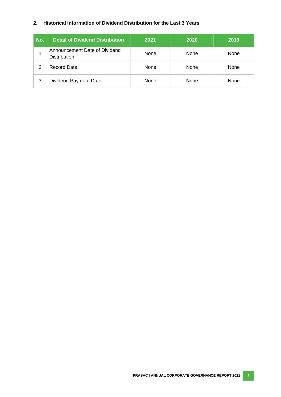## **2. Historical Information of Dividend Distribution for the Last 3 Years**

| No. | <b>Detail of Dividend Distribution</b>               | 2021 | 2020 | 2019 |
|-----|------------------------------------------------------|------|------|------|
|     | Announcement Date of Dividend<br><b>Distribution</b> | None | None | None |
| 2   | <b>Record Date</b>                                   | None | None | None |
| 3   | <b>Dividend Payment Date</b>                         | None | None | None |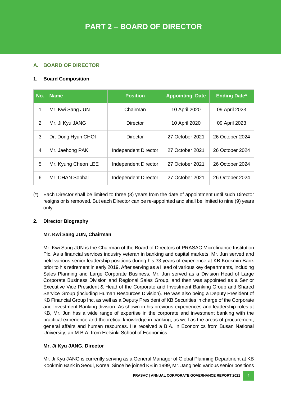# **A. BOARD OF DIRECTOR**

## **1. Board Composition**

| No. | Name                | <b>Position</b>             | <b>Appointing Date</b> | <b>Ending Date*</b> |
|-----|---------------------|-----------------------------|------------------------|---------------------|
| 1   | Mr. Kwi Sang JUN    | Chairman                    | 10 April 2020          | 09 April 2023       |
| 2   | Mr. Ji Kyu JANG     | Director                    | 10 April 2020          | 09 April 2023       |
| 3   | Dr. Dong Hyun CHOI  | Director                    | 27 October 2021        | 26 October 2024     |
| 4   | Mr. Jaehong PAK     | <b>Independent Director</b> | 27 October 2021        | 26 October 2024     |
| 5   | Mr. Kyung Cheon LEE | <b>Independent Director</b> | 27 October 2021        | 26 October 2024     |
| 6   | Mr. CHAN Sophal     | <b>Independent Director</b> | 27 October 2021        | 26 October 2024     |

(\*) Each Director shall be limited to three (3) years from the date of appointment until such Director resigns or is removed. But each Director can be re-appointed and shall be limited to nine (9) years only.

## **2. Director Biography**

# **Mr. Kwi Sang JUN, Chairman**

Mr. Kwi Sang JUN is the Chairman of the Board of Directors of PRASAC Microfinance Institution Plc. As a financial services industry veteran in banking and capital markets, Mr. Jun served and held various senior leadership positions during his 33 years of experience at KB Kookmin Bank prior to his retirement in early 2019. After serving as a Head of various key departments, including Sales Planning and Large Corporate Business, Mr. Jun served as a Division Head of Large Corporate Business Division and Regional Sales Group, and then was appointed as a Senior Executive Vice President & Head of the Corporate and Investment Banking Group and Shared Service Group (including Human Resources Division). He was also being a Deputy President of KB Financial Group Inc. as well as a Deputy President of KB Securities in charge of the Corporate and Investment Banking division. As shown in his previous experiences and leadership roles at KB, Mr. Jun has a wide range of expertise in the corporate and investment banking with the practical experience and theoretical knowledge in banking, as well as the areas of procurement, general affairs and human resources. He received a B.A. in Economics from Busan National University, an M.B.A. from Helsinki School of Economics.

# **Mr. Ji Kyu JANG, Director**

Mr. Ji Kyu JANG is currently serving as a General Manager of Global Planning Department at KB Kookmin Bank in Seoul, Korea. Since he joined KB in 1999, Mr. Jang held various senior positions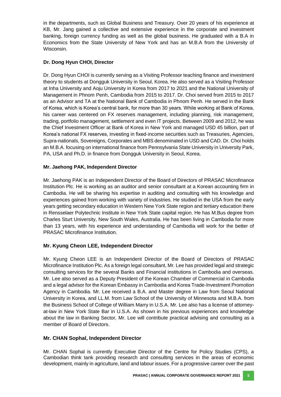in the departments, such as Global Business and Treasury. Over 20 years of his experience at KB, Mr. Jang gained a collective and extensive experience in the corporate and investment banking, foreign currency funding as well as the global business. He graduated with a B.A in Economics from the State University of New York and has an M.B.A from the University of Wisconsin.

# **Dr. Dong Hyun CHOI, Director**

Dr. Dong Hyun CHOI is currently serving as a Visiting Professor teaching finance and investment theory to students at Dongguk University in Seoul, Korea. He also served as a Visiting Professor at Inha University and Aoju University in Korea from 2017 to 2021 and the National University of Management in Phnom Penh, Cambodia from 2015 to 2017. Dr. Choi served from 2015 to 2017 as an Advisor and TA at the National Bank of Cambodia in Phnom Penh. He served in the Bank of Korea, which is Korea's central bank, for more than 30 years. While working at Bank of Korea, his career was centered on FX reserves management, including planning, risk management, trading, portfolio management, settlement and even IT projects. Between 2009 and 2012, he was the Chief Investment Officer at Bank of Korea in New York and managed USD 45 billion, part of Korea's national FX reserves, investing in fixed-income securities such as Treasuries, Agencies, Supra-nationals, Sovereigns, Corporates and MBS denominated in USD and CAD. Dr. Choi holds an M.B.A. focusing on international finance from Pennsylvania State University in University Park, PA, USA and Ph.D. in finance from Dongguk University in Seoul, Korea.

## **Mr. Jaehong PAK, Independent Director**

Mr. Jaehong PAK is an Independent Director of the Board of Directors of PRASAC Microfinance Institution Plc. He is working as an auditor and senior consultant at a Korean accounting firm in Cambodia. He will be sharing his expertise in auditing and consulting with his knowledge and experiences gained from working with variety of industries. He studied in the USA from the early years getting secondary education in Western New York State region and tertiary education there in Rensselaer Polytechnic Institute in New York State capital region. He has M.Bus degree from Charles Sturt University, New South Wales, Australia. He has been living in Cambodia for more than 13 years, with his experience and understanding of Cambodia will work for the better of PRASAC Microfinance Institution.

# **Mr. Kyung Cheon LEE, Independent Director**

Mr. Kyung Cheon LEE is an Independent Director of the Board of Directors of PRASAC Microfinance Institution Plc. As a foreign legal consultant, Mr. Lee has provided legal and strategic consulting services for the several Banks and Financial institutions in Cambodia and overseas. Mr. Lee also served as a Deputy President of the Korean Chamber of Commercial in Cambodia and a legal advisor for the Korean Embassy in Cambodia and Korea Trade-Investment Promotion Agency in Cambodia. Mr. Lee received a B.A. and Master degree in Law from Seoul National University in Korea, and LL.M. from Law School of the University of Minnesota and M.B.A. from the Business School of College of William Marry in U.S.A. Mr. Lee also has a license of attorneyat-law in New York State Bar in U.S.A. As shown in his previous experiences and knowledge about the law in Banking Sector, Mr. Lee will contribute practical advising and consulting as a member of Board of Directors.

## **Mr. CHAN Sophal, Independent Director**

Mr. CHAN Sophal is currently Executive Director of the Centre for Policy Studies (CPS), a Cambodian think tank providing research and consulting services in the areas of economic development, mainly in agriculture, land and labour issues. For a progressive career over the past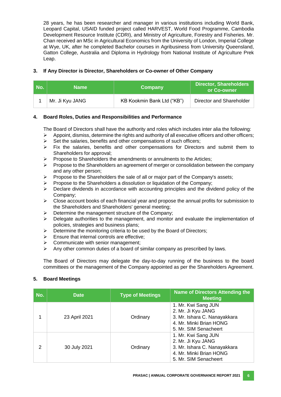28 years, he has been researcher and manager in various institutions including World Bank, Leopard Capital, USAID funded project called HARVEST, World Food Programme, Cambodia Development Resource Institute (CDRI), and Ministry of Agriculture, Forestry and Fisheries. Mr. Chan received an MSc in Agricultural Economics from the University of London, Imperial College at Wye, UK, after he completed Bachelor courses in Agribusiness from University Queensland, Gatton College, Australia and Diploma in Hydrology from National Institute of Agriculture Prek Leap.

## **3. If Any Director is Director, Shareholders or Co-owner of Other Company**

| No. | <b>Name</b>     | <b>Company</b>             | <b>Director, Shareholders</b><br>or Co-owner |
|-----|-----------------|----------------------------|----------------------------------------------|
|     | Mr. Ji Kyu JANG | KB Kookmin Bank Ltd ("KB") | Director and Shareholder                     |

## **4. Board Roles, Duties and Responsibilities and Performance**

The Board of Directors shall have the authority and roles which includes inter alia the following:

- $\triangleright$  Appoint, dismiss, determine the rights and authority of all executive officers and other officers;
- $\triangleright$  Set the salaries, benefits and other compensations of such officers;
- $\triangleright$  Fix the salaries, benefits and other compensations for Directors and submit them to Shareholders for approval;
- Propose to Shareholders the amendments or annulments to the Articles;
- $\triangleright$  Propose to the Shareholders an agreement of merger or consolidation between the company and any other person;
- $\triangleright$  Propose to the Shareholders the sale of all or major part of the Company's assets;
- $\triangleright$  Propose to the Shareholders a dissolution or liquidation of the Company;
- $\triangleright$  Declare dividends in accordance with accounting principles and the dividend policy of the Company;
- $\triangleright$  Close account books of each financial year and propose the annual profits for submission to the Shareholders and Shareholders' general meeting;
- $\triangleright$  Determine the management structure of the Company;
- $\triangleright$  Delegate authorities to the management, and monitor and evaluate the implementation of policies, strategies and business plans;
- $\triangleright$  Determine the monitoring criteria to be used by the Board of Directors;
- $\triangleright$  Ensure that internal controls are effective;
- $\triangleright$  Communicate with senior management;
- $\triangleright$  Any other common duties of a board of similar company as prescribed by laws.

The Board of Directors may delegate the day-to-day running of the business to the board committees or the management of the Company appointed as per the Shareholders Agreement.

## **5. Board Meetings**

| No. | <b>Date</b>   | <b>Type of Meetings</b> | <b>Name of Directors Attending the</b><br><b>Meeting</b>                                                                      |
|-----|---------------|-------------------------|-------------------------------------------------------------------------------------------------------------------------------|
|     | 23 April 2021 | Ordinary                | 1. Mr. Kwi Sang JUN<br>2. Mr. Ji Kyu JANG<br>3. Mr. Ishara C. Nanayakkara<br>4. Mr. Minki Brian HONG<br>5. Mr. SIM Senacheert |
| 2   | 30 July 2021  | Ordinary                | 1. Mr. Kwi Sang JUN<br>2. Mr. Ji Kyu JANG<br>3. Mr. Ishara C. Nanayakkara<br>4. Mr. Minki Brian HONG<br>5. Mr. SIM Senacheert |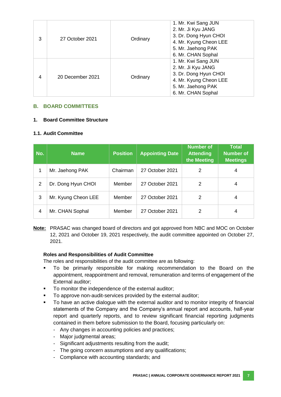| 3 | 27 October 2021  | Ordinary | 1. Mr. Kwi Sang JUN<br>2. Mr. Ji Kyu JANG<br>3. Dr. Dong Hyun CHOI<br>4. Mr. Kyung Cheon LEE<br>5. Mr. Jaehong PAK<br>6. Mr. CHAN Sophal |
|---|------------------|----------|------------------------------------------------------------------------------------------------------------------------------------------|
| 4 | 20 December 2021 | Ordinary | 1. Mr. Kwi Sang JUN<br>2. Mr. Ji Kyu JANG<br>3. Dr. Dong Hyun CHOI<br>4. Mr. Kyung Cheon LEE<br>5. Mr. Jaehong PAK<br>6. Mr. CHAN Sophal |

## **B. BOARD COMMITTEES**

## **1. Board Committee Structure**

## **1.1. Audit Committee**

| No.            | <b>Name</b>         | <b>Position</b> | <b>Appointing Date</b> | <b>Number of</b><br><b>Attending</b><br>the Meeting | <b>Total</b><br><b>Number of</b><br><b>Meetings</b> |
|----------------|---------------------|-----------------|------------------------|-----------------------------------------------------|-----------------------------------------------------|
|                | Mr. Jaehong PAK     | Chairman        | 27 October 2021        | 2                                                   | 4                                                   |
| $\overline{2}$ | Dr. Dong Hyun CHOI  | Member          | 27 October 2021        | 2                                                   | 4                                                   |
| 3              | Mr. Kyung Cheon LEE | Member          | 27 October 2021        | 2                                                   | 4                                                   |
| 4              | Mr. CHAN Sophal     | Member          | 27 October 2021        | 2                                                   | 4                                                   |

**Note:** PRASAC was changed board of directors and got approved from NBC and MOC on October 12, 2021 and October 19, 2021 respectively, the audit committee appointed on October 27, 2021.

## **Roles and Responsibilities of Audit Committee**

The roles and responsibilities of the audit committee are as following:

- To be primarily responsible for making recommendation to the Board on the appointment, reappointment and removal, remuneration and terms of engagement of the External auditor;
- To monitor the independence of the external auditor;
- To approve non-audit-services provided by the external auditor;
- To have an active dialogue with the external auditor and to monitor integrity of financial statements of the Company and the Company's annual report and accounts, half-year report and quarterly reports, and to review significant financial reporting judgments contained in them before submission to the Board, focusing particularly on:
	- Any changes in accounting policies and practices;
	- Major judgmental areas;
	- Significant adjustments resulting from the audit;
	- The going concern assumptions and any qualifications;
	- Compliance with accounting standards; and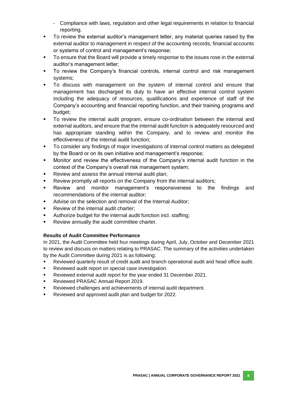- Compliance with laws, regulation and other legal requirements in relation to financial reporting.
- To review the external auditor's management letter, any material queries raised by the external auditor to management in respect of the accounting records, financial accounts or systems of control and management's response;
- To ensure that the Board will provide a timely response to the issues rose in the external auditor's management letter;
- To review the Company's financial controls, internal control and risk management systems;
- To discuss with management on the system of internal control and ensure that management has discharged its duty to have an effective internal control system including the adequacy of resources, qualifications and experience of staff of the Company's accounting and financial reporting function, and their training programs and budget;
- To review the internal audit program, ensure co-ordination between the internal and external auditors, and ensure that the internal audit function is adequately resourced and has appropriate standing within the Company, and to review and monitor the effectiveness of the internal audit function;
- To consider any findings of major investigations of internal control matters as delegated by the Board or on its own initiative and management's response;
- Monitor and review the effectiveness of the Company's internal audit function in the context of the Company's overall risk management system;
- Review and assess the annual internal audit plan;
- Review promptly all reports on the Company from the internal auditors;
- Review and monitor management's responsiveness to the findings and recommendations of the internal auditor;
- Advise on the selection and removal of the Internal Auditor;
- Review of the internal audit charter;
- Authorize budget for the internal audit function incl. staffing;
- Review annually the audit committee charter.

# **Results of Audit Committee Performance**

In 2021, the Audit Committee held four meetings during April, July, October and December 2021 to review and discuss on matters relating to PRASAC. The summary of the activities undertaken by the Audit Committee during 2021 is as following:

- Reviewed quarterly result of credit audit and branch operational audit and head office audit.
- **Reviewed audit report on special case investigation.**
- Reviewed external audit report for the year ended 31 December 2021.
- Reviewed PRASAC Annual Report 2019.
- Reviewed challenges and achievements of internal audit department.
- Reviewed and approved audit plan and budget for 2022.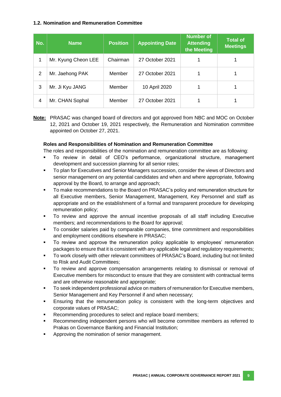## **1.2. Nomination and Remuneration Committee**

| No. | <b>Name</b>         | <b>Position</b> | <b>Appointing Date</b> | <b>Number of</b><br><b>Attending</b><br>the Meeting | <b>Total of</b><br><b>Meetings</b> |
|-----|---------------------|-----------------|------------------------|-----------------------------------------------------|------------------------------------|
| 1   | Mr. Kyung Cheon LEE | Chairman        | 27 October 2021        |                                                     |                                    |
| 2   | Mr. Jaehong PAK     | Member          | 27 October 2021        |                                                     |                                    |
| 3   | Mr. Ji Kyu JANG     | Member          | 10 April 2020          |                                                     |                                    |
| 4   | Mr. CHAN Sophal     | Member          | 27 October 2021        |                                                     |                                    |

**Note:** PRASAC was changed board of directors and got approved from NBC and MOC on October 12, 2021 and October 19, 2021 respectively, the Remuneration and Nomination committee appointed on October 27, 2021.

#### **Roles and Responsibilities of Nomination and Remuneration Committee**

The roles and responsibilities of the nomination and remuneration committee are as following:

- To review in detail of CEO's performance, organizational structure, management development and succession planning for all senior roles;
- To plan for Executives and Senior Managers succession, consider the views of Directors and senior management on any potential candidates and when and where appropriate, following approval by the Board, to arrange and approach;
- To make recommendations to the Board on PRASAC's policy and remuneration structure for all Executive members, Senior Management, Management, Key Personnel and staff as appropriate and on the establishment of a formal and transparent procedure for developing remuneration policy;
- To review and approve the annual incentive proposals of all staff including Executive members; and recommendations to the Board for approval;
- To consider salaries paid by comparable companies, time commitment and responsibilities and employment conditions elsewhere in PRASAC;
- To review and approve the remuneration policy applicable to employees' remuneration packages to ensure that it is consistent with any applicable legal and regulatory requirements;
- To work closely with other relevant committees of PRASAC's Board, including but not limited to Risk and Audit Committees;
- To review and approve compensation arrangements relating to dismissal or removal of Executive members for misconduct to ensure that they are consistent with contractual terms and are otherwise reasonable and appropriate;
- To seek independent professional advice on matters of remuneration for Executive members, Senior Management and Key Personnel if and when necessary;
- Ensuring that the remuneration policy is consistent with the long-term objectives and corporate values of PRASAC;
- Recommending procedures to select and replace board members;
- Recommending independent persons who will become committee members as referred to Prakas on Governance Banking and Financial Institution;
- Approving the nomination of senior management.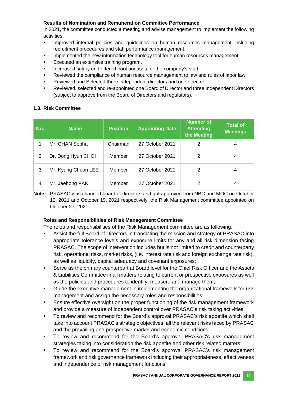# **Results of Nomination and Remuneration Committee Performance**

In 2021, the committee conducted a meeting and advise management to implement the following activities:

- Improved internal policies and guidelines on human resources management including recruitment procedures and staff performance management.
- Implemented the new information technology tool for human resources management.
- Executed an extensive training program.
- Increased salary and offered pool bonuses for the company's staff.
- Reviewed the compliance of human resource management to law and rules of labor law.
- Reviewed and Selected three independent directors and one director.
- Reviewed, selected and re-appointed one Board of Director and three Independent Directors (subject to approve from the Board of Directors and regulators).

## **1.3. Risk Committee**

| No. | <b>Name</b>         | Position | <b>Appointing Date</b> | <b>Number of</b><br><b>Attending</b><br>the Meeting | <b>Total of</b><br><b>Meetings</b> |
|-----|---------------------|----------|------------------------|-----------------------------------------------------|------------------------------------|
|     | Mr. CHAN Sophal     | Chairman | 27 October 2021        | 2                                                   | 4                                  |
| 2   | Dr. Dong Hyun CHOI  | Member   | 27 October 2021        | 2                                                   | 4                                  |
| 3   | Mr. Kyung Cheon LEE | Member   | 27 October 2021        | 2                                                   | 4                                  |
| 4   | Mr. Jaehong PAK     | Member   | 27 October 2021        | 2                                                   | 4                                  |

**Note:** PRASAC was changed board of directors and got approved from NBC and MOC on October 12, 2021 and October 19, 2021 respectively, the Risk Management committee appointed on October 27, 2021.

## **Roles and Responsibilities of Risk Management Committee**

The roles and responsibilities of the Risk Management committee are as following:

- Assist the full Board of Directors in translating the mission and strategy of PRASAC into appropriate tolerance levels and exposure limits for any and all risk dimension facing PRASAC. The scope of intervention includes but is not limited to credit and counterparty risk, operational risks, market risks, (i.e. interest rate risk and foreign exchange rate risk), as well as liquidity, capital adequacy and covenant exposures;
- Serve as the primary counterpart at Board level for the Chief Risk Officer and the Assets & Liabilities Committee in all matters relating to current or prospective exposures as well as the policies and procedures to identify, measure and manage them;
- Guide the executive management in implementing the organizational framework for risk management and assign the necessary roles and responsibilities;
- Ensure effective oversight on the proper functioning of the risk management framework and provide a measure of independent control over PRASAC's risk taking activities;
- To review and recommend for the Board's approval PRASAC's risk appetite which shall take into account PRASAC's strategic objectives, all the relevant risks faced by PRASAC and the prevailing and prospective market and economic conditions;
- To review and recommend for the Board's approval PRASAC's risk management strategies taking into consideration the risk appetite and other risk related matters;
- To review and recommend for the Board's approval PRASAC's risk management framework and risk governance framework including their appropriateness, effectiveness and independence of risk management functions;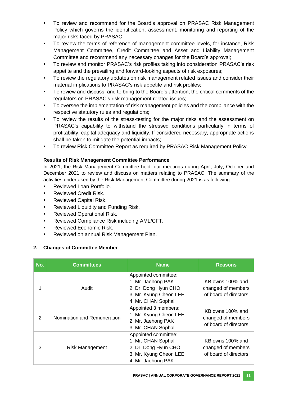- To review and recommend for the Board's approval on PRASAC Risk Management Policy which governs the identification, assessment, monitoring and reporting of the major risks faced by PRASAC;
- To review the terms of reference of management committee levels, for instance, Risk Management Committee, Credit Committee and Asset and Liability Management Committee and recommend any necessary changes for the Board's approval;
- To review and monitor PRASAC's risk profiles taking into consideration PRASAC's risk appetite and the prevailing and forward-looking aspects of risk exposures;
- To review the regulatory updates on risk management related issues and consider their material implications to PRASAC's risk appetite and risk profiles;
- To review and discuss, and to bring to the Board's attention, the critical comments of the regulators on PRASAC's risk management related issues;
- To oversee the implementation of risk management policies and the compliance with the respective statutory rules and regulations;
- To review the results of the stress-testing for the major risks and the assessment on PRASAC's capability to withstand the stressed conditions particularly in terms of profitability, capital adequacy and liquidity. If considered necessary, appropriate actions shall be taken to mitigate the potential impacts;
- **To review Risk Committee Report as required by PRASAC Risk Management Policy.**

## **Results of Risk Management Committee Performance**

In 2021, the Risk Management Committee held four meetings during April, July, October and December 2021 to review and discuss on matters relating to PRASAC. The summary of the activities undertaken by the Risk Management Committee during 2021 is as following:

- Reviewed Loan Portfolio.
- Reviewed Credit Risk.
- Reviewed Capital Risk.
- Reviewed Liquidity and Funding Risk.
- Reviewed Operational Risk.
- Reviewed Compliance Risk including AML/CFT.
- Reviewed Economic Risk.
- Reviewed on annual Risk Management Plan.

## **2. Changes of Committee Member**

| No.            | <b>Committees</b>           | <b>Name</b>                                                                                                         | <b>Reasons</b>                                                  |
|----------------|-----------------------------|---------------------------------------------------------------------------------------------------------------------|-----------------------------------------------------------------|
|                | Audit                       | Appointed committee:<br>1. Mr. Jaehong PAK<br>2. Dr. Dong Hyun CHOI<br>3. Mr. Kyung Cheon LEE<br>4. Mr. CHAN Sophal | KB owns 100% and<br>changed of members<br>of board of directors |
| $\overline{2}$ | Nomination and Remuneration | Appointed 3 members:<br>1. Mr. Kyung Cheon LEE<br>2. Mr. Jaehong PAK<br>3. Mr. CHAN Sophal                          | KB owns 100% and<br>changed of members<br>of board of directors |
| 3              | <b>Risk Management</b>      | Appointed committee:<br>1. Mr. CHAN Sophal<br>2. Dr. Dong Hyun CHOI<br>3. Mr. Kyung Cheon LEE<br>4. Mr. Jaehong PAK | KB owns 100% and<br>changed of members<br>of board of directors |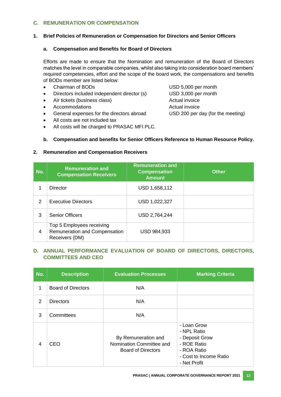## **C. REMUNERATION OR COMPENSATION**

#### **1. Brief Policies of Remuneration or Compensation for Directors and Senior Officers**

#### **a. Compensation and Benefits for Board of Directors**

Efforts are made to ensure that the Nomination and remuneration of the Board of Directors matches the level in comparable companies, whilst also taking into consideration board members' required competencies, effort and the scope of the board work, the compensations and benefits of BODs member are listed below:

- Chairman of BODs USD 5,000 per month
- Directors included independent director (s) USD 3,000 per month
- Air tickets (business class) Actual invoice
- Accommodations **Actual** invoice
- General expenses for the directors abroad USD 200 per day (for the meeting)
- All costs are not included tax
- All costs will be charged to PRASAC MFI PLC.

#### **b. Compensation and benefits for Senior Officers Reference to Human Resource Policy.**

#### **2. Remuneration and Compensation Receivers**

| No. | <b>Remuneration and</b><br><b>Compensation Receivers</b>                     | <b>Remuneration and</b><br><b>Compensation</b><br><b>Amount</b> | <b>Other</b> |
|-----|------------------------------------------------------------------------------|-----------------------------------------------------------------|--------------|
|     | Director                                                                     | USD 1,658,112                                                   |              |
| 2   | <b>Executive Directors</b>                                                   | USD 1,022,327                                                   |              |
| 3   | <b>Senior Officers</b>                                                       | USD 2,764,244                                                   |              |
| 4   | Top 5 Employees receiving<br>Remuneration and Compensation<br>Receivers (DM) | <b>USD 984,933</b>                                              |              |

## **D. ANNUAL PERFORMANCE EVALUATION OF BOARD OF DIRECTORS, DIRECTORS, COMMITTEES AND CEO**

| No. | <b>Description</b>        | <b>Evaluation Processes</b>                                                  | <b>Marking Criteria</b>                                                                                              |
|-----|---------------------------|------------------------------------------------------------------------------|----------------------------------------------------------------------------------------------------------------------|
| 1   | <b>Board of Directors</b> | N/A                                                                          |                                                                                                                      |
| 2   | <b>Directors</b>          | N/A                                                                          |                                                                                                                      |
| 3   | Committees                | N/A                                                                          |                                                                                                                      |
| 4   | CEO                       | By Remuneration and<br>Nomination Committee and<br><b>Board of Directors</b> | - Loan Grow<br>- NPL Ratio<br>- Deposit Grow<br>- ROE Ratio<br>- ROA Ratio<br>- Cost to Income Ratio<br>- Net Profit |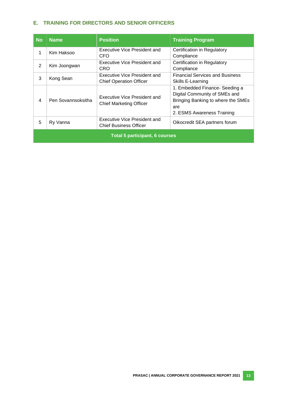## **E. TRAINING FOR DIRECTORS AND SENIOR OFFICERS**

| <b>No</b>                             | <b>Name</b>        | <b>Position</b>                                                | <b>Training Program</b>                                                                                                                    |
|---------------------------------------|--------------------|----------------------------------------------------------------|--------------------------------------------------------------------------------------------------------------------------------------------|
| 1                                     | Kim Haksoo         | Executive Vice President and<br>CFO                            | Certification in Regulatory<br>Compliance                                                                                                  |
| 2                                     | Kim Joongwan       | Executive Vice President and<br>CRO                            | Certification in Regulatory<br>Compliance                                                                                                  |
| 3                                     | Kong Sean          | Executive Vice President and<br><b>Chief Operation Officer</b> | <b>Financial Services and Business</b><br>Skills E-Learning                                                                                |
| $\overline{\mathcal{A}}$              | Pen Sovannsoksitha | Executive Vice President and<br>Chief Marketing Officer        | 1. Embedded Finance- Seeding a<br>Digital Community of SMEs and<br>Bringing Banking to where the SMEs<br>are<br>2. ESMS Awareness Training |
| 5                                     | Ry Vanna           | Executive Vice President and<br><b>Chief Business Officer</b>  | Oikocredit SEA partners forum                                                                                                              |
| <b>Total 5 participant, 6 courses</b> |                    |                                                                |                                                                                                                                            |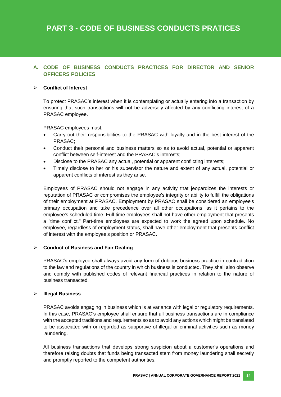# **A. CODE OF BUSINESS CONDUCTS PRACTICES FOR DIRECTOR AND SENIOR OFFICERS POLICIES**

#### **Conflict of Interest**

To protect PRASAC's interest when it is contemplating or actually entering into a transaction by ensuring that such transactions will not be adversely affected by any conflicting interest of a PRASAC employee.

PRASAC employees must:

- Carry out their responsibilities to the PRASAC with loyalty and in the best interest of the PRASAC;
- Conduct their personal and business matters so as to avoid actual, potential or apparent conflict between self-interest and the PRASAC's interests;
- Disclose to the PRASAC any actual, potential or apparent conflicting interests;
- Timely disclose to her or his supervisor the nature and extent of any actual, potential or apparent conflicts of interest as they arise.

Employees of PRASAC should not engage in any activity that jeopardizes the interests or reputation of PRASAC or compromises the employee's integrity or ability to fulfill the obligations of their employment at PRASAC. Employment by PRASAC shall be considered an employee's primary occupation and take precedence over all other occupations, as it pertains to the employee's scheduled time. Full-time employees shall not have other employment that presents a "time conflict." Part-time employees are expected to work the agreed upon schedule. No employee, regardless of employment status, shall have other employment that presents conflict of interest with the employee's position or PRASAC.

#### **Conduct of Business and Fair Dealing**

PRASAC's employee shall always avoid any form of dubious business practice in contradiction to the law and regulations of the country in which business is conducted. They shall also observe and comply with published codes of relevant financial practices in relation to the nature of business transacted.

#### **Illegal Business**

PRASAC avoids engaging in business which is at variance with legal or regulatory requirements. In this case, PRASAC's employee shall ensure that all business transactions are in compliance with the accepted traditions and requirements so as to avoid any actions which might be translated to be associated with or regarded as supportive of illegal or criminal activities such as money laundering.

All business transactions that develops strong suspicion about a customer's operations and therefore raising doubts that funds being transacted stem from money laundering shall secretly and promptly reported to the competent authorities.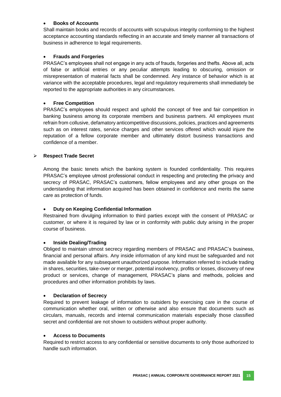### **Books of Accounts**

Shall maintain books and records of accounts with scrupulous integrity conforming to the highest acceptance accounting standards reflecting in an accurate and timely manner all transactions of business in adherence to legal requirements.

#### **Frauds and Forgeries**

PRASAC's employees shall not engage in any acts of frauds, forgeries and thefts. Above all, acts of false or artificial entries or any peculiar attempts leading to obscuring, omission or misrepresentation of material facts shall be condemned. Any instance of behavior which is at variance with the acceptable procedures, legal and regulatory requirements shall immediately be reported to the appropriate authorities in any circumstances.

#### **Free Competition**

PRASAC's employees should respect and uphold the concept of free and fair competition in banking business among its corporate members and business partners. All employees must refrain from collusive, defamatory anticompetitive discussions, policies, practices and agreements such as on interest rates, service charges and other services offered which would injure the reputation of a fellow corporate member and ultimately distort business transactions and confidence of a member.

#### **Respect Trade Secret**

Among the basic tenets which the banking system is founded confidentiality. This requires PRASAC's employee utmost professional conduct in respecting and protecting the privacy and secrecy of PRASAC, PRASAC's customers, fellow employees and any other groups on the understanding that information acquired has been obtained in confidence and merits the same care as protection of funds.

#### **Duty on Keeping Confidential Information**

Restrained from divulging information to third parties except with the consent of PRASAC or customer, or where it is required by law or in conformity with public duty arising in the proper course of business.

#### **Inside Dealing/Trading**

Obliged to maintain utmost secrecy regarding members of PRASAC and PRASAC's business, financial and personal affairs. Any inside information of any kind must be safeguarded and not made available for any subsequent unauthorized purpose. Information referred to include trading in shares, securities, take-over or merger, potential insolvency, profits or losses, discovery of new product or services, change of management, PRASAC's plans and methods, policies and procedures and other information prohibits by laws.

#### **Declaration of Secrecy**

Required to prevent leakage of information to outsiders by exercising care in the course of communication whether oral, written or otherwise and also ensure that documents such as circulars, manuals, records and internal communication materials especially those classified secret and confidential are not shown to outsiders without proper authority.

#### **Access to Documents**

Required to restrict access to any confidential or sensitive documents to only those authorized to handle such information.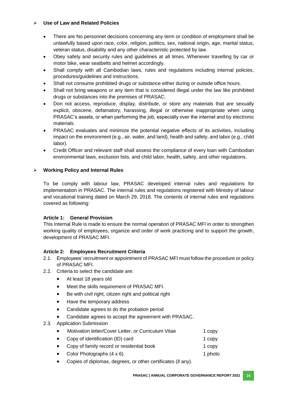## **Use of Law and Related Policies**

- There are No personnel decisions concerning any term or condition of employment shall be unlawfully based upon race, color, religion, politics, sex, national origin, age, marital status, veteran status, disability and any other characteristic protected by law.
- Obey safety and security rules and guidelines at all times. Whenever travelling by car or motor bike, wear seatbelts and helmet accordingly.
- Shall comply with all Cambodian laws, rules and regulations including internal policies, procedures/guidelines and instructions.
- Shall not consume prohibited drugs or substance either during or outside office hours.
- Shall not bring weapons or any item that is considered illegal under the law like prohibited drugs or substances into the premises of PRASAC.
- Don not access, reproduce, display, distribute, or store any materials that are sexually explicit, obscene, defamatory, harassing, illegal or otherwise inappropriate when using PRASAC's assets, or when performing the job, especially over the internet and by electronic materials.
- PRASAC evaluates and minimize the potential negative effects of its activities, including impact on the environment (e.g., air, water, and land), health and safety, and labor (e.g., child labor).
- Credit Officer and relevant staff shall assess the compliance of every loan with Cambodian environmental laws, exclusion lists, and child labor, health, safety, and other regulations.

## **Working Policy and Internal Rules**

To be comply with labour law, PRASAC developed internal rules and regulations for implementation in PRASAC. The internal rules and regulations registered with Ministry of labour and vocational training dated on March 29, 2018. The contents of internal rules and regulations covered as following:

## **Article 1: General Provision**

This Internal Rule is made to ensure the normal operation of PRASAC MFI in order to strengthen working quality of employees, organize and order of work practicing and to support the growth, development of PRASAC MFI.

## **Article 2: Employees Recruitment Criteria**

- 2.1. Employees' recruitment or appointment of PRASAC MFI must follow the procedure or policy of PRASAC MFI.
- 2.2. Criteria to select the candidate are:
	- At least 18 years old
	- Meet the skills requirement of PRASAC MFI.
	- Be with civil right, citizen right and political right
	- Have the temporary address
	- Candidate agrees to do the probation period
	- Candidate agrees to accept the agreement with PRASAC.
- 2.3. Application Submission

| Motivation letter/Cover Letter, or Curriculum Vitae | 1 copy |
|-----------------------------------------------------|--------|
|                                                     |        |

- Copy of identification (ID) card 1 copy
	- Copy of family record or residential book 1 copy
- Color Photographs  $(4 \times 6)$  1 photo
- Copies of diplomas, degrees, or other certificates (if any).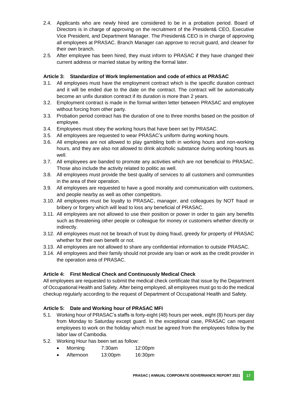- 2.4. Applicants who are newly hired are considered to be in a probation period. Board of Directors is in charge of approving on the recruitment of the President& CEO, Executive Vice President, and Department Manager. The President& CEO is in charge of approving all employees at PRASAC. Branch Manager can approve to recruit guard, and cleaner for their own branch.
- 2.5. After employee has been hired, they must inform to PRASAC if they have changed their current address or married statue by writing the formal later.

## **Article 3: Standardize of Work Implementation and code of ethics at PRASAC**

- 3.1. All employees must have the employment contract which is the specific duration contract and it will be ended due to the date on the contract. The contract will be automatically become an unfix duration contract if its duration is more than 2 years.
- 3.2. Employment contract is made in the formal written letter between PRASAC and employee without forcing from other party.
- 3.3. Probation period contract has the duration of one to three months based on the position of employee.
- 3.4. Employees must obey the working hours that have been set by PRASAC.
- 3.5. All employees are requested to wear PRASAC's uniform during working hours.
- 3.6. All employees are not allowed to play gambling both in working hours and non-working hours, and they are also not allowed to drink alcoholic substance during working hours as well.
- 3.7. All employees are banded to promote any activities which are not beneficial to PRASAC. Those also include the activity related to politic as well.
- 3.8. All employees must provide the best quality of services to all customers and communities in the area of their operation.
- 3.9. All employees are requested to have a good morality and communication with customers, and people nearby as well as other competitors.
- 3.10. All employees must be loyalty to PRASAC, manager, and colleagues by NOT fraud or bribery or forgery which will lead to loss any beneficial of PRASAC.
- 3.11. All employees are not allowed to use their position or power in order to gain any benefits such as threatening other people or colleague for money or customers whether directly or indirectly.
- 3.12. All employees must not be breach of trust by doing fraud, greedy for property of PRASAC whether for their own benefit or not.
- 3.13. All employees are not allowed to share any confidential information to outside PRASAC.
- 3.14. All employees and their family should not provide any loan or work as the credit provider in the operation area of PRASAC.

## **Article 4: First Medical Check and Continuously Medical Check**

All employees are requested to submit the medical check certificate that issue by the Department of Occupational Health and Safety. After being employed, all employees must go to do the medical checkup regularly according to the request of Department of Occupational Health and Safety.

## **Article 5: Date and Working hour of PRASAC MFI**

- 5.1. Working hour of PRASAC's staffs is forty-eight (48) hours per week, eight (8) hours per day from Monday to Saturday except guard. In the exceptional case, PRASAC can request employees to work on the holiday which must be agreed from the employees follow by the labor law of Cambodia.
- 5.2. Working Hour has been set as follow:
	- Morning 7:30am 12:00pm
	- Afternoon 13:00pm 16:30pm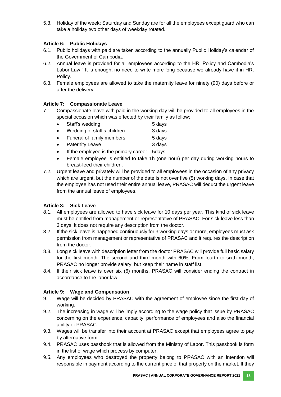5.3. Holiday of the week: Saturday and Sunday are for all the employees except guard who can take a holiday two other days of weekday rotated.

## **Article 6: Public Holidays**

- 6.1. Public holidays with paid are taken according to the annually Public Holiday's calendar of the Government of Cambodia.
- 6.2. Annual leave is provided for all employees according to the HR. Policy and Cambodia's Labor Law." It is enough, no need to write more long because we already have it in HR. Policy.
- 6.3. Female employees are allowed to take the maternity leave for ninety (90) days before or after the delivery.

## **Article 7: Compassionate Leave**

- 7.1. Compassionate leave with paid in the working day will be provided to all employees in the special occasion which was effected by their family as follow:
	- Staff's wedding 5 days
	- Wedding of staff's children 3 days
	- Funeral of family members 5 days
	- Paternity Leave 3 days
	- If the employee is the primary career 5days
	- Female employee is entitled to take 1h (one hour) per day during working hours to breast-feed their children.
- 7.2. Urgent leave and privately will be provided to all employees in the occasion of any privacy which are urgent, but the number of the date is not over five (5) working days. In case that the employee has not used their entire annual leave, PRASAC will deduct the urgent leave from the annual leave of employees.

## **Article 8: Sick Leave**

- 8.1. All employees are allowed to have sick leave for 10 days per year. This kind of sick leave must be entitled from management or representative of PRASAC. For sick leave less than 3 days, it does not require any description from the doctor.
- 8.2. If the sick leave is happened continuously for 3 working days or more, employees must ask permission from management or representative of PRASAC and it requires the description from the doctor.
- 8.3. Long sick leave with description letter from the doctor PRASAC will provide full basic salary for the first month. The second and third month with 60%. From fourth to sixth month, PRASAC no longer provide salary, but keep their name in staff list.
- 8.4. If their sick leave is over six (6) months, PRASAC will consider ending the contract in accordance to the labor law.

## **Article 9: Wage and Compensation**

- 9.1. Wage will be decided by PRASAC with the agreement of employee since the first day of working.
- 9.2. The increasing in wage will be imply according to the wage policy that issue by PRASAC concerning on the experience, capacity, performance of employees and also the financial ability of PRASAC.
- 9.3. Wages will be transfer into their account at PRASAC except that employees agree to pay by alternative form.
- 9.4. PRASAC uses passbook that is allowed from the Ministry of Labor. This passbook is form in the list of wage which process by computer.
- 9.5. Any employees who destroyed the property belong to PRASAC with an intention will responsible in payment according to the current price of that property on the market. If they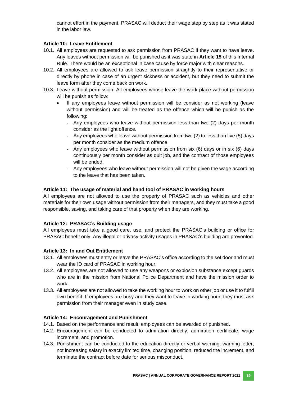cannot effort in the payment, PRASAC will deduct their wage step by step as it was stated in the labor law.

## **Article 10: Leave Entitlement**

- 10.1. All employees are requested to ask permission from PRASAC if they want to have leave. Any leaves without permission will be punished as it was state in **Article 15** of this Internal Rule. There would be an exceptional in case cause by force major with clear reasons.
- 10.2. All employees are allowed to ask leave permission straightly to their representative or directly by phone in case of an urgent sickness or accident, but they need to submit the leave form after they come back on work.
- 10.3. Leave without permission: All employees whose leave the work place without permission will be punish as follow:
	- If any employees leave without permission will be consider as not working (leave without permission) and will be treated as the offence which will be punish as the following:
		- Any employees who leave without permission less than two (2) days per month consider as the light offence.
		- Any employees who leave without permission from two (2) to less than five (5) days per month consider as the medium offence.
		- Any employees who leave without permission from six (6) days or in six (6) days continuously per month consider as quit job, and the contract of those employees will be ended.
		- Any employees who leave without permission will not be given the wage according to the leave that has been taken.

#### **Article 11: The usage of material and hand tool of PRASAC in working hours**

All employees are not allowed to use the property of PRASAC such as vehicles and other materials for their own usage without permission from their managers, and they must take a good responsible, saving, and taking care of that property when they are working.

## **Article 12: PRASAC's Building usage**

All employees must take a good care, use, and protect the PRASAC's building or office for PRASAC benefit only. Any illegal or privacy activity usages in PRASAC's building are prevented.

## **Article 13: In and Out Entitlement**

- 13.1. All employees must entry or leave the PRASAC's office according to the set door and must wear the ID card of PRASAC in working hour.
- 13.2. All employees are not allowed to use any weapons or explosion substance except guards who are in the mission from National Police Department and have the mission order to work.
- 13.3. All employees are not allowed to take the working hour to work on other job or use it to fulfill own benefit. If employees are busy and they want to leave in working hour, they must ask permission from their manager even in study case.

#### **Article 14: Encouragement and Punishment**

- 14.1. Based on the performance and result, employees can be awarded or punished.
- 14.2. Encouragement can be conducted to admiration directly, admiration certificate, wage increment, and promotion.
- 14.3. Punishment can be conducted to the education directly or verbal warning, warning letter, not increasing salary in exactly limited time, changing position, reduced the increment, and terminate the contract before date for serious misconduct.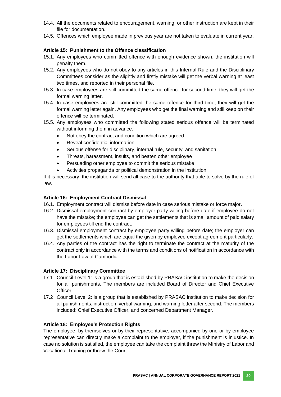- 14.4. All the documents related to encouragement, warning, or other instruction are kept in their file for documentation.
- 14.5. Offences which employee made in previous year are not taken to evaluate in current year.

## **Article 15: Punishment to the Offence classification**

- 15.1. Any employees who committed offence with enough evidence shown, the institution will penalty them.
- 15.2. Any employees who do not obey to any articles in this Internal Rule and the Disciplinary Committees consider as the slightly and firstly mistake will get the verbal warning at least two times, and reported in their personal file.
- 15.3. In case employees are still committed the same offence for second time, they will get the formal warning letter.
- 15.4. In case employees are still committed the same offence for third time, they will get the formal warning letter again. Any employees who get the final warning and still keep on their offence will be terminated.
- 15.5. Any employees who committed the following stated serious offence will be terminated without informing them in advance.
	- Not obey the contract and condition which are agreed
	- Reveal confidential information
	- Serious offense for disciplinary, internal rule, security, and sanitation
	- Threats, harassment, insults, and beaten other employee
	- Persuading other employee to commit the serious mistake
	- Activities propaganda or political demonstration in the institution

If it is necessary, the institution will send all case to the authority that able to solve by the rule of law.

#### **Article 16: Employment Contract Dismissal**

- 16.1. Employment contract will dismiss before date in case serious mistake or force major.
- 16.2. Dismissal employment contract by employer party willing before date if employee do not have the mistake; the employee can get the settlements that is small amount of paid salary for employees till end the contract.
- 16.3. Dismissal employment contract by employee party willing before date; the employer can get the settlements which are equal the given by employee except agreement particularly.
- 16.4. Any parties of the contract has the right to terminate the contract at the maturity of the contract only in accordance with the terms and conditions of notification in accordance with the Labor Law of Cambodia.

#### **Article 17: Disciplinary Committee**

- 17.1 Council Level 1: is a group that is established by PRASAC institution to make the decision for all punishments. The members are included Board of Director and Chief Executive Officer.
- 17.2 Council Level 2: is a group that is established by PRASAC institution to make decision for all punishments, instruction, verbal warning, and warning letter after second. The members included: Chief Executive Officer, and concerned Department Manager.

## **Article 18: Employee's Protection Rights**

The employee, by themselves or by their representative, accompanied by one or by employee representative can directly make a complaint to the employer, if the punishment is injustice. In case no solution is satisfied, the employee can take the complaint threw the Ministry of Labor and Vocational Training or threw the Court.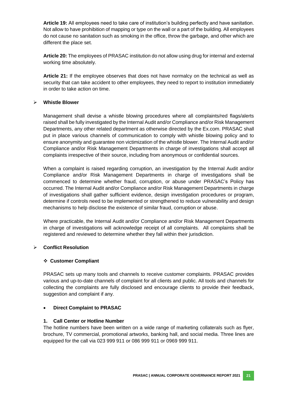**Article 19:** All employees need to take care of institution's building perfectly and have sanitation. Not allow to have prohibition of mapping or type on the wall or a part of the building. All employees do not cause no sanitation such as smoking in the office, throw the garbage, and other which are different the place set.

**Article 20:** The employees of PRASAC institution do not allow using drug for internal and external working time absolutely.

**Article 21:** If the employee observes that does not have normalcy on the technical as well as security that can take accident to other employees, they need to report to institution immediately in order to take action on time.

#### **Whistle Blower**

Management shall devise a whistle blowing procedures where all complaints/red flags/alerts raised shall be fully investigated by the Internal Audit and/or Compliance and/or Risk Management Departments, any other related department as otherwise directed by the Ex.com. PRASAC shall put in place various channels of communication to comply with whistle blowing policy and to ensure anonymity and guarantee non victimization of the whistle blower. The Internal Audit and/or Compliance and/or Risk Management Departments in charge of investigations shall accept all complaints irrespective of their source, including from anonymous or confidential sources.

When a complaint is raised regarding corruption, an investigation by the Internal Audit and/or Compliance and/or Risk Management Departments in charge of investigations shall be commenced to determine whether fraud, corruption, or abuse under PRASAC's Policy has occurred. The Internal Audit and/or Compliance and/or Risk Management Departments in charge of investigations shall gather sufficient evidence, design investigation procedures or program, determine if controls need to be implemented or strengthened to reduce vulnerability and design mechanisms to help disclose the existence of similar fraud, corruption or abuse.

Where practicable, the Internal Audit and/or Compliance and/or Risk Management Departments in charge of investigations will acknowledge receipt of all complaints. All complaints shall be registered and reviewed to determine whether they fall within their jurisdiction.

## **Conflict Resolution**

#### **Customer Compliant**

PRASAC sets up many tools and channels to receive customer complaints. PRASAC provides various and up-to-date channels of complaint for all clients and public. All tools and channels for collecting the complaints are fully disclosed and encourage clients to provide their feedback, suggestion and complaint if any.

## **Direct Complaint to PRASAC**

#### **1. Call Center or Hotline Number**

The hotline numbers have been written on a wide range of marketing collaterals such as flyer, brochure, TV commercial, promotional artworks, banking hall, and social media. Three lines are equipped for the call via 023 999 911 or 086 999 911 or 0969 999 911.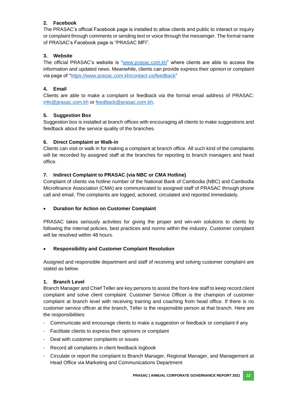# **2. Facebook**

The PRASAC's official Facebook page is installed to allow clients and public to interact or inquiry or complaint through comments or sending text or voice through the messenger. The formal name of PRASAC's Facebook page is "PRASAC MFI".

# **3. Website**

The official PRASAC's website is ["www.prasac.com.kh"](http://www.prasac.com.kh/) where clients are able to access the information and updated news. Meanwhile, clients can provide express their opinion or complaint via page of ["https://www.prasac.com.kh/contact-us/feedback"](https://www.prasac.com.kh/contact-us/feedback)

# **4. Email**

Clients are able to make a complaint or feedback via the formal email address of PRASAC: [info@prasac.com.kh](mailto:info@prasac.com.kh) or [feedback@prasac.com.kh.](mailto:feedback@prasac.com.kh)

## **5. Suggestion Box**

Suggestion box is installed at branch offices with encouraging all clients to make suggestions and feedback about the service quality of the branches.

## **6. Direct Complaint or Walk-in**

Clients can visit or walk in for making a complaint at branch office. All such kind of the complaints will be recorded by assigned staff at the branches for reporting to branch managers and head office.

## **7. Indirect Complaint to PRASAC (via NBC or CMA Hotline)**

Complaint of clients via hotline number of the National Bank of Cambodia (NBC) and Cambodia Microfinance Association (CMA) are communicated to assigned staff of PRASAC through phone call and email. The complaints are logged, actioned, circulated and reported immediately.

## **Duration for Action on Customer Complaint**

PRASAC takes seriously activities for giving the proper and win-win solutions to clients by following the internal policies, best practices and norms within the industry. Customer complaint will be resolved within 48 hours.

## **Responsibility and Customer Complaint Resolution**

Assigned and responsible department and staff of receiving and solving customer complaint are stated as below.

## **1. Branch Level**

Branch Manager and Chief Teller are key persons to assist the front-line staff to keep record client complaint and solve client complaint. Customer Service Officer is the champion of customer complaint at branch level with receiving training and coaching from head office. If there is no customer service officer at the branch, Teller is the responsible person at that branch. Here are the responsibilities:

- Communicate and encourage clients to make a suggestion or feedback or complaint if any
- Facilitate clients to express their opinions or complaint
- Deal with customer complaints or issues
- Record all complaints in client feedback logbook
- Circulate or report the complaint to Branch Manager, Regional Manager, and Management at Head Office via Marketing and Communications Department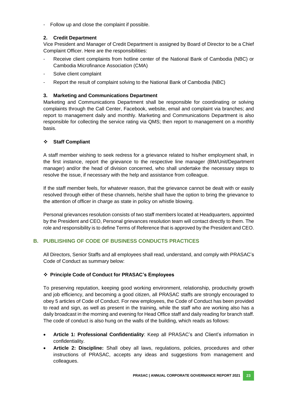- Follow up and close the complaint if possible.

## **2. Credit Department**

Vice President and Manager of Credit Department is assigned by Board of Director to be a Chief Complaint Officer. Here are the responsibilities:

- Receive client complaints from hotline center of the National Bank of Cambodia (NBC) or Cambodia Microfinance Association (CMA)
- Solve client complaint
- Report the result of complaint solving to the National Bank of Cambodia (NBC)

## **3. Marketing and Communications Department**

Marketing and Communications Department shall be responsible for coordinating or solving complaints through the Call Center, Facebook, website, email and complaint via branches; and report to management daily and monthly. Marketing and Communications Department is also responsible for collecting the service rating via QMS; then report to management on a monthly basis.

## **Staff Compliant**

A staff member wishing to seek redress for a grievance related to his/her employment shall, in the first instance, report the grievance to the respective line manager (BM/Unit/Department manager) and/or the head of division concerned, who shall undertake the necessary steps to resolve the issue, if necessary with the help and assistance from colleague.

If the staff member feels, for whatever reason, that the grievance cannot be dealt with or easily resolved through either of these channels, he/she shall have the option to bring the grievance to the attention of officer in charge as state in policy on whistle blowing.

Personal grievances resolution consists of two staff members located at Headquarters, appointed by the President and CEO, Personal grievances resolution team will contact directly to them. The role and responsibility is to define Terms of Reference that is approved by the President and CEO.

# **B. PUBLISHING OF CODE OF BUSINESS CONDUCTS PRACTICES**

All Directors, Senior Staffs and all employees shall read, understand, and comply with PRASAC's Code of Conduct as summary below:

## **Principle Code of Conduct for PRASAC's Employees**

To preserving reputation, keeping good working environment, relationship, productivity growth and job efficiency, and becoming a good citizen, all PRASAC staffs are strongly encouraged to obey 5 articles of Code of Conduct. For new employees, the Code of Conduct has been provided to read and sign, as well as present in the training, while the staff who are working also has a daily broadcast in the morning and evening for Head Office staff and daily reading for branch staff. The code of conduct is also hung on the walls of the building, which reads as follows:

- **Article 1: Professional Confidentiality**: Keep all PRASAC's and Client's information in confidentiality.
- **Article 2: Discipline:** Shall obey all laws, regulations, policies, procedures and other instructions of PRASAC, accepts any ideas and suggestions from management and colleagues.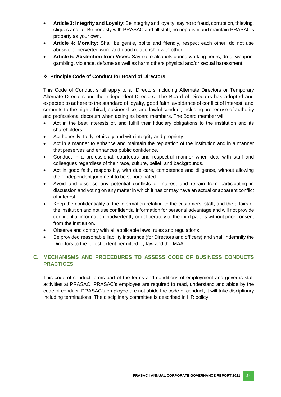- **Article 3: Integrity and Loyalty**: Be integrity and loyalty, say no to fraud, corruption, thieving, cliques and lie. Be honesty with PRASAC and all staff, no nepotism and maintain PRASAC's property as your own.
- **Article 4: Morality:** Shall be gentle, polite and friendly, respect each other, do not use abusive or perverted word and good relationship with other.
- **Article 5: Abstention from Vices:** Say no to alcohols during working hours, drug, weapon, gambling, violence, defame as well as harm others physical and/or sexual harassment.

## **Principle Code of Conduct for Board of Directors**

This Code of Conduct shall apply to all Directors including Alternate Directors or Temporary Alternate Directors and the Independent Directors. The Board of Directors has adopted and expected to adhere to the standard of loyalty, good faith, avoidance of conflict of interest, and commits to the high ethical, businesslike, and lawful conduct, including proper use of authority and professional decorum when acting as board members. The Board member will:

- Act in the best interests of, and fulfill their fiduciary obligations to the institution and its shareholders.
- Act honestly, fairly, ethically and with integrity and propriety.
- Act in a manner to enhance and maintain the reputation of the institution and in a manner that preserves and enhances public confidence.
- Conduct in a professional, courteous and respectful manner when deal with staff and colleagues regardless of their race, culture, belief, and backgrounds.
- Act in good faith, responsibly, with due care, competence and diligence, without allowing their independent judgment to be subordinated.
- Avoid and disclose any potential conflicts of interest and refrain from participating in discussion and voting on any matter in which it has or may have an actual or apparent conflict of interest.
- Keep the confidentiality of the information relating to the customers, staff, and the affairs of the institution and not use confidential information for personal advantage and will not provide confidential information inadvertently or deliberately to the third parties without prior consent from the institution.
- Observe and comply with all applicable laws, rules and regulations.
- Be provided reasonable liability insurance (for Directors and officers) and shall indemnify the Directors to the fullest extent permitted by law and the MAA.

# **C. MECHANISMS AND PROCEDURES TO ASSESS CODE OF BUSINESS CONDUCTS PRACTICES**

This code of conduct forms part of the terms and conditions of employment and governs staff activities at PRASAC. PRASAC's employee are required to read, understand and abide by the code of conduct. PRASAC's employee are not abide the code of conduct, it will take disciplinary including terminations. The disciplinary committee is described in HR policy.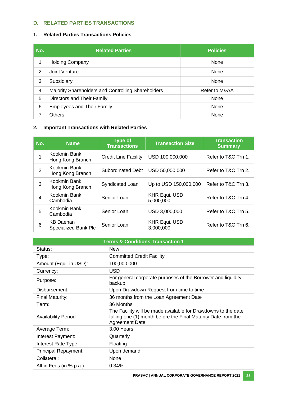# **D. RELATED PARTIES TRANSACTIONS**

# **1. Related Parties Transactions Policies**

| No.            | <b>Related Parties</b>                             | <b>Policies</b> |
|----------------|----------------------------------------------------|-----------------|
| 1              | <b>Holding Company</b>                             | None            |
| $\overline{2}$ | Joint Venture                                      | None            |
| 3              | Subsidiary                                         | None            |
| $\overline{4}$ | Majority Shareholders and Controlling Shareholders | Refer to M&AA   |
| 5              | Directors and Their Family                         | None            |
| 6              | <b>Employees and Their Family</b>                  | None            |
| 7              | <b>Others</b>                                      | None            |

# **2. Important Transactions with Related Parties**

| No.            | <b>Name</b>                                     | <b>Type of</b><br><b>Transactions</b> | <b>Transaction Size</b>           | <b>Transaction</b><br><b>Summary</b> |
|----------------|-------------------------------------------------|---------------------------------------|-----------------------------------|--------------------------------------|
|                | Kookmin Bank,<br>Hong Kong Branch               | <b>Credit Line Facility</b>           | USD 100,000,000                   | Refer to T&C Trn 1.                  |
| $\overline{2}$ | Kookmin Bank,<br>Hong Kong Branch               | <b>Subordinated Debt</b>              | USD 50,000,000                    | Refer to T&C Trn 2.                  |
| 3              | Kookmin Bank,<br>Hong Kong Branch               | Syndicated Loan                       | Up to USD 150,000,000             | Refer to T&C Trn 3.                  |
| 4              | Kookmin Bank,<br>Cambodia                       | Senior Loan                           | <b>KHR Equi. USD</b><br>5,000,000 | Refer to T&C Trn 4.                  |
| 5              | Kookmin Bank,<br>Cambodia                       | Senior Loan                           | USD 3,000,000                     | Refer to T&C Trn 5.                  |
| 6              | <b>KB Daehan</b><br><b>Specialized Bank Plc</b> | Senior Loan                           | <b>KHR Equi. USD</b><br>3,000,000 | Refer to T&C Trn 6.                  |

| <b>Terms &amp; Conditions Transaction 1</b> |                                                                                                                                                   |  |
|---------------------------------------------|---------------------------------------------------------------------------------------------------------------------------------------------------|--|
| Status:                                     | <b>New</b>                                                                                                                                        |  |
| Type:                                       | <b>Committed Credit Facility</b>                                                                                                                  |  |
| Amount (Equi. in USD):                      | 100,000,000                                                                                                                                       |  |
| Currency:                                   | <b>USD</b>                                                                                                                                        |  |
| Purpose:                                    | For general corporate purposes of the Borrower and liquidity<br>backup.                                                                           |  |
| Disbursement:                               | Upon Drawdown Request from time to time                                                                                                           |  |
| <b>Final Maturity:</b>                      | 36 months from the Loan Agreement Date                                                                                                            |  |
| Term:                                       | 36 Months                                                                                                                                         |  |
| <b>Availability Period</b>                  | The Facility will be made available for Drawdowns to the date<br>falling one (1) month before the Final Maturity Date from the<br>Agreement Date. |  |
| Average Term:                               | 3.00 Years                                                                                                                                        |  |
| Interest Payment:                           | Quarterly                                                                                                                                         |  |
| Interest Rate Type:                         | Floating                                                                                                                                          |  |
| Principal Repayment:                        | Upon demand                                                                                                                                       |  |
| Collateral:                                 | None                                                                                                                                              |  |
| All-in Fees (in % p.a.)                     | 0.34%                                                                                                                                             |  |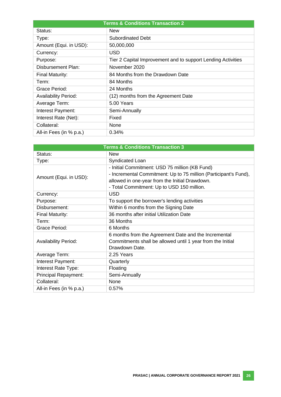| <b>Terms &amp; Conditions Transaction 2</b> |                                                              |  |
|---------------------------------------------|--------------------------------------------------------------|--|
| Status:                                     | <b>New</b>                                                   |  |
| Type:                                       | Subordinated Debt                                            |  |
| Amount (Equi. in USD):                      | 50,000,000                                                   |  |
| Currency:                                   | <b>USD</b>                                                   |  |
| Purpose:                                    | Tier 2 Capital Improvement and to support Lending Activities |  |
| Disbursement Plan:                          | November 2020                                                |  |
| Final Maturity:                             | 84 Months from the Drawdown Date                             |  |
| Term:                                       | 84 Months                                                    |  |
| Grace Period:                               | 24 Months                                                    |  |
| <b>Availability Period:</b>                 | (12) months from the Agreement Date                          |  |
| Average Term:                               | 5.00 Years                                                   |  |
| Interest Payment:                           | Semi-Annually                                                |  |
| Interest Rate (Net):                        | Fixed                                                        |  |
| Collateral:                                 | None                                                         |  |
| All-in Fees (in % p.a.)                     | 0.34%                                                        |  |

| <b>Terms &amp; Conditions Transaction 3</b> |                                                                                                                    |  |
|---------------------------------------------|--------------------------------------------------------------------------------------------------------------------|--|
| Status:                                     | <b>New</b>                                                                                                         |  |
| Type:                                       | Syndicated Loan                                                                                                    |  |
|                                             | - Initial Commitment: USD 75 million (KB Fund)<br>- Incremental Commitment: Up to 75 million (Participant's Fund), |  |
| Amount (Equi. in USD):                      | allowed in one-year from the Initial Drawdown.                                                                     |  |
|                                             | - Total Commitment: Up to USD 150 million.                                                                         |  |
| Currency:                                   | <b>USD</b>                                                                                                         |  |
| Purpose:                                    | To support the borrower's lending activities                                                                       |  |
| Disbursement:                               | Within 6 months from the Signing Date                                                                              |  |
| Final Maturity:                             | 36 months after initial Utilization Date                                                                           |  |
| Term:                                       | 36 Months                                                                                                          |  |
| Grace Period:                               | 6 Months                                                                                                           |  |
|                                             | 6 months from the Agreement Date and the Incremental                                                               |  |
| <b>Availability Period:</b>                 | Commitments shall be allowed until 1 year from the Initial                                                         |  |
|                                             | Drawdown Date.                                                                                                     |  |
| Average Term:                               | 2.25 Years                                                                                                         |  |
| Interest Payment:                           | Quarterly                                                                                                          |  |
| Interest Rate Type:                         | Floating                                                                                                           |  |
| Principal Repayment:                        | Semi-Annually                                                                                                      |  |
| Collateral:                                 | None                                                                                                               |  |
| All-in Fees (in % p.a.)                     | 0.57%                                                                                                              |  |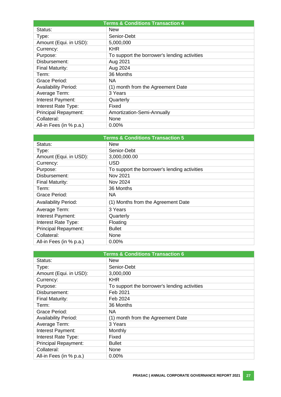| <b>Terms &amp; Conditions Transaction 4</b> |                                              |  |
|---------------------------------------------|----------------------------------------------|--|
| Status:                                     | <b>New</b>                                   |  |
| Type:                                       | Senior-Debt                                  |  |
| Amount (Equi. in USD):                      | 5,000,000                                    |  |
| Currency:                                   | KHR                                          |  |
| Purpose:                                    | To support the borrower's lending activities |  |
| Disbursement:                               | Aug 2021                                     |  |
| Final Maturity:                             | Aug 2024                                     |  |
| Term:                                       | 36 Months                                    |  |
| Grace Period:                               | NA.                                          |  |
| <b>Availability Period:</b>                 | (1) month from the Agreement Date            |  |
| Average Term:                               | 3 Years                                      |  |
| Interest Payment:                           | Quarterly                                    |  |
| Interest Rate Type:                         | Fixed                                        |  |
| Principal Repayment:                        | Amortization-Semi-Annually                   |  |
| Collateral:                                 | None                                         |  |
| All-in Fees (in % p.a.)                     | $0.00\%$                                     |  |

| <b>Terms &amp; Conditions Transaction 5</b> |                                              |  |
|---------------------------------------------|----------------------------------------------|--|
| Status:                                     | <b>New</b>                                   |  |
| Type:                                       | Senior-Debt                                  |  |
| Amount (Equi. in USD):                      | 3,000,000.00                                 |  |
| Currency:                                   | <b>USD</b>                                   |  |
| Purpose:                                    | To support the borrower's lending activities |  |
| Disbursement:                               | Nov 2021                                     |  |
| Final Maturity:                             | Nov 2024                                     |  |
| Term:                                       | 36 Months                                    |  |
| Grace Period:                               | NA                                           |  |
| <b>Availability Period:</b>                 | (1) Months from the Agreement Date           |  |
| Average Term:                               | 3 Years                                      |  |
| Interest Payment:                           | Quarterly                                    |  |
| Interest Rate Type:                         | Floating                                     |  |
| Principal Repayment:                        | <b>Bullet</b>                                |  |
| Collateral:                                 | None                                         |  |
| All-in Fees (in % p.a.)                     | $0.00\%$                                     |  |

| <b>Terms &amp; Conditions Transaction 6</b> |                                              |  |
|---------------------------------------------|----------------------------------------------|--|
| Status:                                     | <b>New</b>                                   |  |
| Type:                                       | Senior-Debt                                  |  |
| Amount (Equi. in USD):                      | 3,000,000                                    |  |
| Currency:                                   | <b>KHR</b>                                   |  |
| Purpose:                                    | To support the borrower's lending activities |  |
| Disbursement:                               | Feb 2021                                     |  |
| Final Maturity:                             | Feb 2024                                     |  |
| Term:                                       | 36 Months                                    |  |
| Grace Period:                               | NA.                                          |  |
| <b>Availability Period:</b>                 | (1) month from the Agreement Date            |  |
| Average Term:                               | 3 Years                                      |  |
| Interest Payment:                           | Monthly                                      |  |
| Interest Rate Type:                         | Fixed                                        |  |
| Principal Repayment:                        | <b>Bullet</b>                                |  |
| Collateral:                                 | None                                         |  |
| All-in Fees (in % p.a.)                     | 0.00%                                        |  |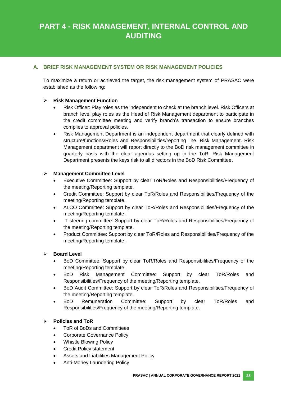# **PART 4 - RISK MANAGEMENT, INTERNAL CONTROL AND AUDITING**

# **A. BRIEF RISK MANAGEMENT SYSTEM OR RISK MANAGEMENT POLICIES**

To maximize a return or achieved the target, the risk management system of PRASAC were established as the following:

## **Risk Management Function**

- Risk Officer: Play roles as the independent to check at the branch level. Risk Officers at branch level play roles as the Head of Risk Management department to participate in the credit committee meeting and verify branch's transaction to ensure branches complies to approval policies.
- Risk Management Department is an independent department that clearly defined with structure/functions/Roles and Responsibilities/reporting line. Risk Management. Risk Management department will report directly to the BoD risk management committee in quarterly basis with the clear agendas setting up in the ToR. Risk Management Department presents the keys risk to all directors in the BoD Risk Committee.

#### **Management Committee Level**

- Executive Committee: Support by clear ToR/Roles and Responsibilities/Frequency of the meeting/Reporting template.
- Credit Committee: Support by clear ToR/Roles and Responsibilities/Frequency of the meeting/Reporting template.
- ALCO Committee: Support by clear ToR/Roles and Responsibilities/Frequency of the meeting/Reporting template.
- IT steering committee: Support by clear ToR/Roles and Responsibilities/Frequency of the meeting/Reporting template.
- Product Committee: Support by clear ToR/Roles and Responsibilities/Frequency of the meeting/Reporting template.

#### **Board Level**

- BoD Committee: Support by clear ToR/Roles and Responsibilities/Frequency of the meeting/Reporting template.
- BoD Risk Management Committee: Support by clear ToR/Roles and Responsibilities/Frequency of the meeting/Reporting template.
- BoD Audit Committee: Support by clear ToR/Roles and Responsibilities/Frequency of the meeting/Reporting template.
- BoD Remuneration Committee: Support by clear ToR/Roles and Responsibilities/Frequency of the meeting/Reporting template.

## **Policies and ToR**

- ToR of BoDs and Committees
- Corporate Governance Policy
- Whistle Blowing Policy
- Credit Policy statement
- Assets and Liabilities Management Policy
- Anti-Money Laundering Policy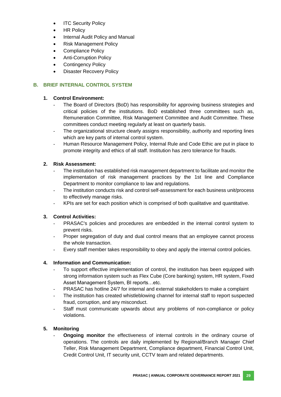- **ITC Security Policy**
- HR Policy
- Internal Audit Policy and Manual
- Risk Management Policy
- Compliance Policy
- Anti-Corruption Policy
- Contingency Policy
- Disaster Recovery Policy

## **B. BRIEF INTERNAL CONTROL SYSTEM**

## **1. Control Environment:**

- The Board of Directors (BoD) has responsibility for approving business strategies and critical policies of the institutions. BoD established three committees such as, Remuneration Committee, Risk Management Committee and Audit Committee. These committees conduct meeting regularly at least on quarterly basis.
- The organizational structure clearly assigns responsibility, authority and reporting lines which are key parts of internal control system.
- Human Resource Management Policy, Internal Rule and Code Ethic are put in place to promote integrity and ethics of all staff. Institution has zero tolerance for frauds.

# **2. Risk Assessment:**

- The institution has established risk management department to facilitate and monitor the implementation of risk management practices by the 1st line and Compliance Department to monitor compliance to law and regulations.
- The institution conducts risk and control self-assessment for each business unit/process to effectively manage risks.
- KPIs are set for each position which is comprised of both qualitative and quantitative.

## **3. Control Activities:**

- PRASAC's policies and procedures are embedded in the internal control system to prevent risks.
- Proper segregation of duty and dual control means that an employee cannot process the whole transaction.
- Every staff member takes responsibility to obey and apply the internal control policies.

# **4. Information and Communication:**

- To support effective implementation of control, the institution has been equipped with strong information system such as Flex Cube (Core banking) system, HR system, Fixed Asset Management System, BI reports…etc.
- PRASAC has hotline 24/7 for internal and external stakeholders to make a complaint
- The institution has created whistleblowing channel for internal staff to report suspected fraud, corruption, and any misconduct.
- Staff must communicate upwards about any problems of non-compliance or policy violations.

# **5. Monitoring**

- **Ongoing monitor** the effectiveness of internal controls in the ordinary course of operations. The controls are daily implemented by Regional/Branch Manager Chief Teller, Risk Management Department, Compliance department, Financial Control Unit, Credit Control Unit, IT security unit, CCTV team and related departments.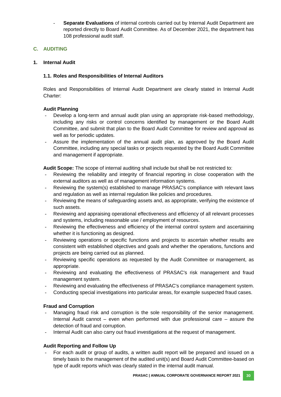Separate Evaluations of internal controls carried out by Internal Audit Department are reported directly to Board Audit Committee. As of December 2021, the department has 108 professional audit staff.

# **C. AUDITING**

## **1. Internal Audit**

## **1.1. Roles and Responsibilities of Internal Auditors**

Roles and Responsibilities of Internal Audit Department are clearly stated in Internal Audit Charter:

## **Audit Planning**

- Develop a long-term and annual audit plan using an appropriate risk-based methodology, including any risks or control concerns identified by management or the Board Audit Committee, and submit that plan to the Board Audit Committee for review and approval as well as for periodic updates.
- Assure the implementation of the annual audit plan, as approved by the Board Audit Committee, including any special tasks or projects requested by the Board Audit Committee and management if appropriate.

**Audit Scope:** The scope of internal auditing shall include but shall be not restricted to:

- Reviewing the reliability and integrity of financial reporting in close cooperation with the external auditors as well as of management information systems.
- Reviewing the system(s) established to manage PRASAC's compliance with relevant laws and regulation as well as internal regulation like policies and procedures.
- Reviewing the means of safeguarding assets and, as appropriate, verifying the existence of such assets.
- Reviewing and appraising operational effectiveness and efficiency of all relevant processes and systems, including reasonable use / employment of resources.
- Reviewing the effectiveness and efficiency of the internal control system and ascertaining whether it is functioning as designed.
- Reviewing operations or specific functions and projects to ascertain whether results are consistent with established objectives and goals and whether the operations, functions and projects are being carried out as planned.
- Reviewing specific operations as requested by the Audit Committee or management, as appropriate.
- Reviewing and evaluating the effectiveness of PRASAC's risk management and fraud management system.
- Reviewing and evaluating the effectiveness of PRASAC's compliance management system.
- Conducting special investigations into particular areas, for example suspected fraud cases.

## **Fraud and Corruption**

- Managing fraud risk and corruption is the sole responsibility of the senior management. Internal Audit cannot – even when performed with due professional care – assure the detection of fraud and corruption.
- Internal Audit can also carry out fraud investigations at the request of management.

## **Audit Reporting and Follow Up**

For each audit or group of audits, a written audit report will be prepared and issued on a timely basis to the management of the audited unit(s) and Board Audit Committee-based on type of audit reports which was clearly stated in the internal audit manual.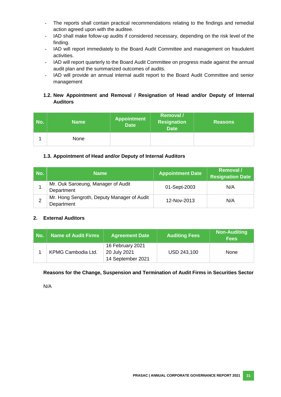- The reports shall contain practical recommendations relating to the findings and remedial action agreed upon with the auditee.
- IAD shall make follow-up audits if considered necessary, depending on the risk level of the finding.
- IAD will report immediately to the Board Audit Committee and management on fraudulent activities.
- IAD will report quarterly to the Board Audit Committee on progress made against the annual audit plan and the summarized outcomes of audits.
- IAD will provide an annual internal audit report to the Board Audit Committee and senior management

# **1.2. New Appointment and Removal / Resignation of Head and/or Deputy of Internal Auditors**

| No. | <b>Name</b> | <b>Appointment</b><br><b>Date</b> | <b>Removal</b> /<br><b>Resignation</b><br><b>Date</b> | <b>Reasons</b> |
|-----|-------------|-----------------------------------|-------------------------------------------------------|----------------|
|     | None        |                                   |                                                       |                |

# **1.3. Appointment of Head and/or Deputy of Internal Auditors**

| No. | <b>Name</b>                                              | <b>Appointment Date</b> | Removal /<br><b>Resignation Date</b> |
|-----|----------------------------------------------------------|-------------------------|--------------------------------------|
|     | Mr. Ouk Saroeung, Manager of Audit<br>Department         | 01-Sept-2003            | N/A                                  |
| ◠   | Mr. Hong Sengroth, Deputy Manager of Audit<br>Department | 12-Nov-2013             | N/A                                  |

## **2. External Auditors**

| No. | Name of Audit Firms | <b>Agreement Date</b>                                 | <b>Auditing Fees</b> | <b>Non-Auditing</b><br><b>Fees</b> |
|-----|---------------------|-------------------------------------------------------|----------------------|------------------------------------|
|     | KPMG Cambodia Ltd.  | 16 February 2021<br>20 July 2021<br>14 September 2021 | USD 243,100          | <b>None</b>                        |

## **Reasons for the Change, Suspension and Termination of Audit Firms in Securities Sector**

N/A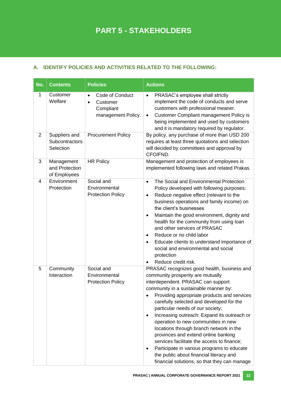# **A. IDENTIFY POLICIES AND ACTIVITIES RELATED TO THE FOLLOWING:**

| No.            | <b>Contents</b>                              | <b>Policies</b>                                                                          | <b>Actions</b>                                                                                                                                                                                                                                                                                                                                                                                                                                                                                                                                                                                                                                                                  |
|----------------|----------------------------------------------|------------------------------------------------------------------------------------------|---------------------------------------------------------------------------------------------------------------------------------------------------------------------------------------------------------------------------------------------------------------------------------------------------------------------------------------------------------------------------------------------------------------------------------------------------------------------------------------------------------------------------------------------------------------------------------------------------------------------------------------------------------------------------------|
| 1              | Customer<br>Welfare                          | Code of Conduct<br>$\bullet$<br>Customer<br>$\bullet$<br>Compliant<br>management Policy. | PRASAC's employee shall strictly<br>$\bullet$<br>implement the code of conducts and serve<br>customers with professional meaner.<br><b>Customer Compliant management Policy is</b><br>$\bullet$<br>being implemented and used by customers<br>and it is mandatory required by regulator.                                                                                                                                                                                                                                                                                                                                                                                        |
| $\overline{2}$ | Suppliers and<br>Subcontractors<br>Selection | <b>Procurement Policy</b>                                                                | By policy, any purchase of more than USD 200<br>requires at least three quotations and selection<br>will decided by committees and approval by<br>CFO/FND.                                                                                                                                                                                                                                                                                                                                                                                                                                                                                                                      |
| 3              | Management<br>and Protection<br>of Employees | <b>HR Policy</b>                                                                         | Management and protection of employees is<br>implemented following laws and related Prakas.                                                                                                                                                                                                                                                                                                                                                                                                                                                                                                                                                                                     |
| 4              | Environment<br>Protection                    | Social and<br>Environmental<br><b>Protection Policy</b>                                  | The Social and Environmental Protection<br>$\bullet$<br>Policy developed with following purposes:<br>Reduce negative effect (relevant to the<br>٠<br>business operations and family income) on<br>the client's businesses<br>Maintain the good environment, dignity and<br>$\bullet$<br>health for the community from using loan<br>and other services of PRASAC<br>Reduce or no child labor<br>Educate clients to understand importance of<br>$\bullet$<br>social and environmental and social<br>protection<br>Reduce credit risk.                                                                                                                                            |
| 5              | Community<br>Interaction                     | Social and<br>Environmental<br><b>Protection Policy</b>                                  | PRASAC recognizes good health, business and<br>community prosperity are mutually<br>interdependent. PRASAC can support<br>community in a sustainable manner by:<br>Providing appropriate products and services<br>carefully selected and developed for the<br>particular needs of our society;<br>Increasing outreach: Expand its outreach or<br>$\bullet$<br>operation to new communities in new<br>locations through branch network in the<br>provinces and extend online banking<br>services facilitate the access to finance;<br>Participate in various programs to educate<br>٠<br>the public about financial literacy and<br>financial solutions, so that they can manage |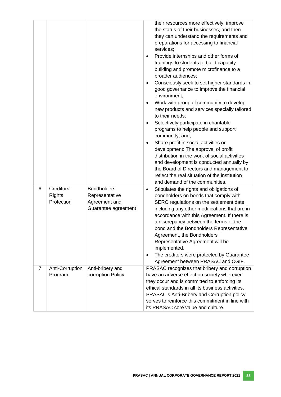|                |                             |                                       | their resources more effectively, improve<br>the status of their businesses, and then<br>they can understand the requirements and<br>preparations for accessing to financial<br>services;<br>Provide internships and other forms of<br>trainings to students to build capacity<br>building and promote microfinance to a<br>broader audiences;<br>Consciously seek to set higher standards in<br>$\bullet$<br>good governance to improve the financial<br>environment;<br>Work with group of community to develop<br>$\bullet$<br>new products and services specially tailored<br>to their needs;<br>Selectively participate in charitable<br>$\bullet$<br>programs to help people and support<br>community, and;<br>Share profit in social activities or<br>$\bullet$<br>development: The approval of profit<br>distribution in the work of social activities<br>and development is conducted annually by<br>the Board of Directors and management to<br>reflect the real situation of the institution<br>and demand of the communities. |
|----------------|-----------------------------|---------------------------------------|-------------------------------------------------------------------------------------------------------------------------------------------------------------------------------------------------------------------------------------------------------------------------------------------------------------------------------------------------------------------------------------------------------------------------------------------------------------------------------------------------------------------------------------------------------------------------------------------------------------------------------------------------------------------------------------------------------------------------------------------------------------------------------------------------------------------------------------------------------------------------------------------------------------------------------------------------------------------------------------------------------------------------------------------|
| 6              | Creditors'                  | <b>Bondholders</b>                    | Stipulates the rights and obligations of<br>٠                                                                                                                                                                                                                                                                                                                                                                                                                                                                                                                                                                                                                                                                                                                                                                                                                                                                                                                                                                                             |
|                | <b>Rights</b><br>Protection | Representative<br>Agreement and       | bondholders on bonds that comply with                                                                                                                                                                                                                                                                                                                                                                                                                                                                                                                                                                                                                                                                                                                                                                                                                                                                                                                                                                                                     |
|                |                             | Guarantee agreement                   | SERC regulations on the settlement date,<br>including any other modifications that are in<br>accordance with this Agreement. If there is<br>a discrepancy between the terms of the<br>bond and the Bondholders Representative<br>Agreement, the Bondholders<br>Representative Agreement will be<br>implemented.<br>The creditors were protected by Guarantee<br>$\bullet$<br>Agreement between PRASAC and CGIF.                                                                                                                                                                                                                                                                                                                                                                                                                                                                                                                                                                                                                           |
| $\overline{7}$ | Anti-Corruption<br>Program  | Anti-bribery and<br>corruption Policy | PRASAC recognizes that bribery and corruption<br>have an adverse effect on society wherever                                                                                                                                                                                                                                                                                                                                                                                                                                                                                                                                                                                                                                                                                                                                                                                                                                                                                                                                               |
|                |                             |                                       | they occur and is committed to enforcing its                                                                                                                                                                                                                                                                                                                                                                                                                                                                                                                                                                                                                                                                                                                                                                                                                                                                                                                                                                                              |
|                |                             |                                       | ethical standards in all its business activities.                                                                                                                                                                                                                                                                                                                                                                                                                                                                                                                                                                                                                                                                                                                                                                                                                                                                                                                                                                                         |
|                |                             |                                       | PRASAC's Anti-Bribery and Corruption policy<br>serves to reinforce this commitment in line with                                                                                                                                                                                                                                                                                                                                                                                                                                                                                                                                                                                                                                                                                                                                                                                                                                                                                                                                           |
|                |                             |                                       | its PRASAC core value and culture.                                                                                                                                                                                                                                                                                                                                                                                                                                                                                                                                                                                                                                                                                                                                                                                                                                                                                                                                                                                                        |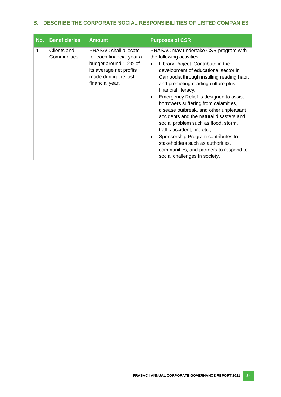# **B. DESCRIBE THE CORPORATE SOCIAL RESPONSIBILITIES OF LISTED COMPANIES**

| No. | <b>Beneficiaries</b>       | <b>Amount</b>                                                                                                                                            | <b>Purposes of CSR</b>                                                                                                                                                                                                                                                                                                                                                                                                                                                                                                                                                                                                                                                                          |
|-----|----------------------------|----------------------------------------------------------------------------------------------------------------------------------------------------------|-------------------------------------------------------------------------------------------------------------------------------------------------------------------------------------------------------------------------------------------------------------------------------------------------------------------------------------------------------------------------------------------------------------------------------------------------------------------------------------------------------------------------------------------------------------------------------------------------------------------------------------------------------------------------------------------------|
| 1   | Clients and<br>Communities | <b>PRASAC</b> shall allocate<br>for each financial year a<br>budget around 1-2% of<br>its average net profits<br>made during the last<br>financial year. | PRASAC may undertake CSR program with<br>the following activities:<br>Library Project: Contribute in the<br>$\bullet$<br>development of educational sector in<br>Cambodia through instilling reading habit<br>and promoting reading culture plus<br>financial literacy.<br>Emergency Relief is designed to assist<br>$\bullet$<br>borrowers suffering from calamities,<br>disease outbreak, and other unpleasant<br>accidents and the natural disasters and<br>social problem such as flood, storm,<br>traffic accident, fire etc.,<br>Sponsorship Program contributes to<br>٠<br>stakeholders such as authorities,<br>communities, and partners to respond to<br>social challenges in society. |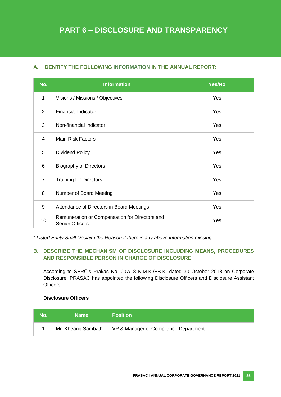# **A. IDENTIFY THE FOLLOWING INFORMATION IN THE ANNUAL REPORT:**

| No.            | <b>Information</b>                                                       | Yes/No |
|----------------|--------------------------------------------------------------------------|--------|
| 1              | Visions / Missions / Objectives                                          | Yes    |
| $\overline{2}$ | <b>Financial Indicator</b>                                               | Yes    |
| 3              | Non-financial Indicator                                                  | Yes    |
| $\overline{4}$ | <b>Main Risk Factors</b>                                                 | Yes    |
| 5              | <b>Dividend Policy</b>                                                   | Yes    |
| 6              | <b>Biography of Directors</b>                                            | Yes    |
| $\overline{7}$ | <b>Training for Directors</b>                                            | Yes    |
| 8              | Number of Board Meeting                                                  | Yes    |
| 9              | Attendance of Directors in Board Meetings                                | Yes    |
| 10             | Remuneration or Compensation for Directors and<br><b>Senior Officers</b> | Yes    |

*\* Listed Entity Shall Declaim the Reason if there is any above information missing.*

# **B. DESCRIBE THE MECHANISM OF DISCLOSURE INCLUDING MEANS, PROCEDURES AND RESPONSIBLE PERSON IN CHARGE OF DISCLOSURE**

According to SERC's Prakas No. 007/18 K.M.K./BB.K. dated 30 October 2018 on Corporate Disclosure, PRASAC has appointed the following Disclosure Officers and Disclosure Assistant Officers:

## **Disclosure Officers**

| No. | <b>Name</b>        | <b>Position</b>                       |
|-----|--------------------|---------------------------------------|
|     | Mr. Kheang Sambath | VP & Manager of Compliance Department |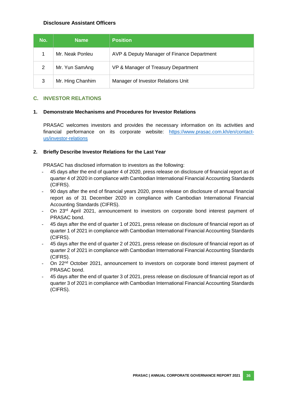## **Disclosure Assistant Officers**

| No. | <b>Name</b>      | <b>Position</b>                            |
|-----|------------------|--------------------------------------------|
|     | Mr. Neak Ponleu  | AVP & Deputy Manager of Finance Department |
| 2   | Mr. Yun SamAng   | VP & Manager of Treasury Department        |
| 3   | Mr. Hing Chanhim | Manager of Investor Relations Unit         |

## **C. INVESTOR RELATIONS**

#### **1. Demonstrate Mechanisms and Procedures for Investor Relations**

PRASAC welcomes investors and provides the necessary information on its activities and financial performance on its corporate website: [https://www.prasac.com.kh/en/contact](https://www.prasac.com.kh/en/contact-us/investor-relations)[us/investor-relations](https://www.prasac.com.kh/en/contact-us/investor-relations)

#### **2. Briefly Describe Investor Relations for the Last Year**

PRASAC has disclosed information to investors as the following:

- 45 days after the end of quarter 4 of 2020, press release on disclosure of financial report as of quarter 4 of 2020 in compliance with Cambodian International Financial Accounting Standards (CIFRS).
- 90 days after the end of financial years 2020, press release on disclosure of annual financial report as of 31 December 2020 in compliance with Cambodian International Financial Accounting Standards (CIFRS).
- On 23<sup>rd</sup> April 2021, announcement to investors on corporate bond interest payment of PRASAC bond.
- 45 days after the end of quarter 1 of 2021, press release on disclosure of financial report as of quarter 1 of 2021 in compliance with Cambodian International Financial Accounting Standards (CIFRS).
- 45 days after the end of quarter 2 of 2021, press release on disclosure of financial report as of quarter 2 of 2021 in compliance with Cambodian International Financial Accounting Standards (CIFRS).
- On 22<sup>nd</sup> October 2021, announcement to investors on corporate bond interest payment of PRASAC bond.
- 45 days after the end of quarter 3 of 2021, press release on disclosure of financial report as of quarter 3 of 2021 in compliance with Cambodian International Financial Accounting Standards (CIFRS).